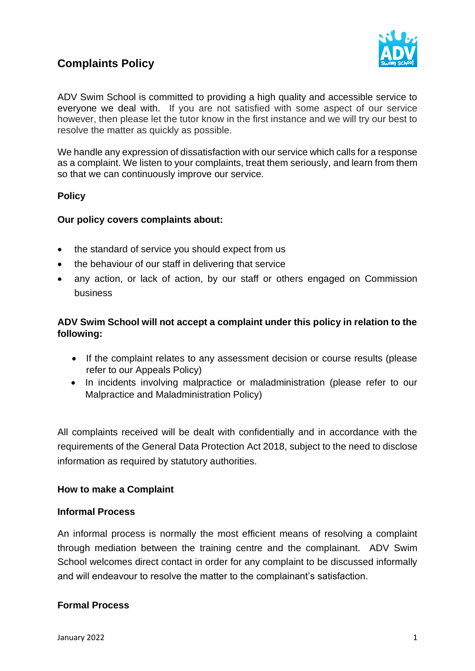## **Complaints Policy**



ADV Swim School is committed to providing a high quality and accessible service to everyone we deal with. If you are not satisfied with some aspect of our service however, then please let the tutor know in the first instance and we will try our best to resolve the matter as quickly as possible.

We handle any expression of dissatisfaction with our service which calls for a response as a complaint. We listen to your complaints, treat them seriously, and learn from them so that we can continuously improve our service.

### **Policy**

### **Our policy covers complaints about:**

- the standard of service you should expect from us
- the behaviour of our staff in delivering that service
- any action, or lack of action, by our staff or others engaged on Commission business

### **ADV Swim School will not accept a complaint under this policy in relation to the following:**

- If the complaint relates to any assessment decision or course results (please refer to our Appeals Policy)
- In incidents involving malpractice or maladministration (please refer to our Malpractice and Maladministration Policy)

All complaints received will be dealt with confidentially and in accordance with the requirements of the General Data Protection Act 2018, subject to the need to disclose information as required by statutory authorities.

### **How to make a Complaint**

#### **Informal Process**

An informal process is normally the most efficient means of resolving a complaint through mediation between the training centre and the complainant. ADV Swim School welcomes direct contact in order for any complaint to be discussed informally and will endeavour to resolve the matter to the complainant's satisfaction.

### **Formal Process**